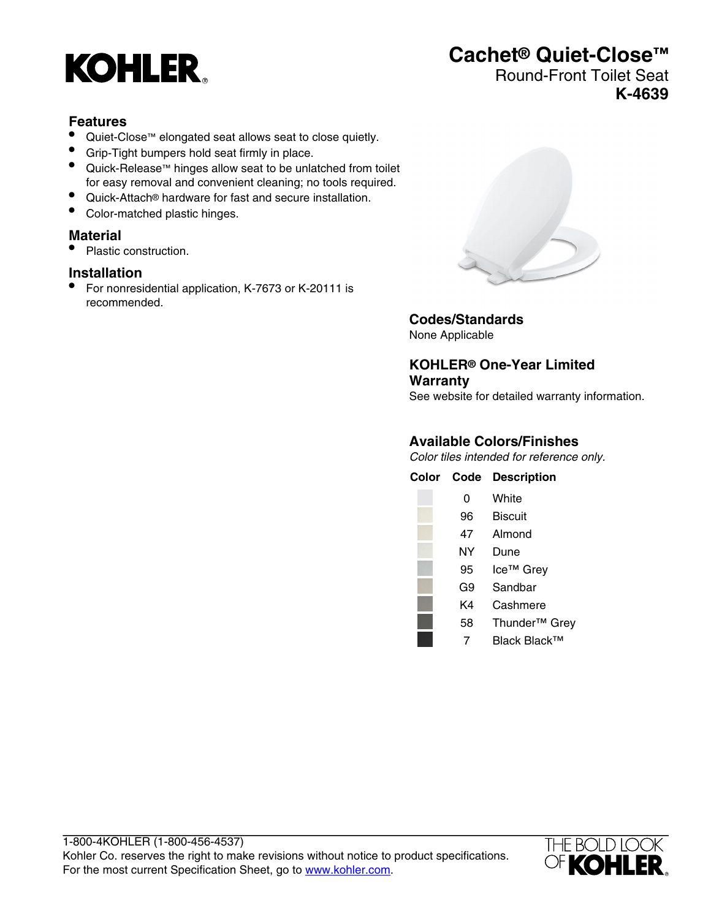

# **Cachet® Quiet-Close™**

# Round-Front Toilet Seat **K-4639**

#### **Features**

- Quiet-Close™ elongated seat allows seat to close quietly.
- Grip-Tight bumpers hold seat firmly in place.
- Quick-Release™ hinges allow seat to be unlatched from toilet for easy removal and convenient cleaning; no tools required.
- Quick-Attach® hardware for fast and secure installation.
- Color-matched plastic hinges.

#### **Material**

• Plastic construction.

#### **Installation**

• For nonresidential application, K-7673 or K-20111 is recommended.



**Codes/Standards** None Applicable

**KOHLER® One-Year Limited Warranty** See website for detailed warranty information.

### **Available Colors/Finishes**

Color tiles intended for reference only.

| Color Code | <b>Description</b>        |
|------------|---------------------------|
| 0          | White                     |
| 96         | Biscuit                   |
| 47         | Almond                    |
| ΝY         | Dune                      |
| 95         | Ice <sup>™</sup> Grey     |
| G9         | Sandbar                   |
| K4         | Cashmere                  |
| 58         | Thunder <sup>™</sup> Grey |
| 7          | Black Black™              |